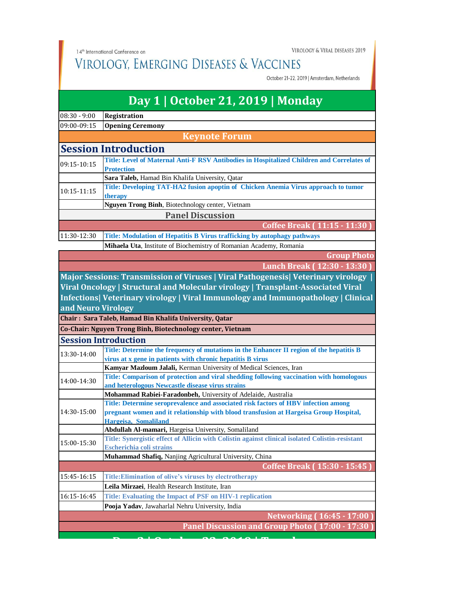14<sup>th</sup> International Conference on

VIROLOGY & VIRAL DISEASES 2019

## VIROLOGY, EMERGING DISEASES & VACCINES

October 21-22, 2019 | Amsterdam, Netherlands

| Day 1   October 21, 2019   Monday |                                                                                                                                                                             |  |
|-----------------------------------|-----------------------------------------------------------------------------------------------------------------------------------------------------------------------------|--|
| $08:30 - 9:00$                    | Registration                                                                                                                                                                |  |
| 09:00-09:15                       | <b>Opening Ceremony</b>                                                                                                                                                     |  |
|                                   | <b>Keynote Forum</b>                                                                                                                                                        |  |
|                                   | <b>Session Introduction</b>                                                                                                                                                 |  |
| 09:15-10:15                       | Title: Level of Maternal Anti-F RSV Antibodies in Hospitalized Children and Correlates of                                                                                   |  |
|                                   | <b>Protection</b>                                                                                                                                                           |  |
|                                   | Sara Taleb, Hamad Bin Khalifa University, Qatar                                                                                                                             |  |
| 10:15-11:15                       | Title: Developing TAT-HA2 fusion apoptin of Chicken Anemia Virus approach to tumor                                                                                          |  |
|                                   | therapy                                                                                                                                                                     |  |
|                                   | Nguyen Trong Binh, Biotechnology center, Vietnam                                                                                                                            |  |
| <b>Panel Discussion</b>           |                                                                                                                                                                             |  |
|                                   | Coffee Break (11:15 - 11:30)                                                                                                                                                |  |
| 11:30-12:30                       | Title: Modulation of Hepatitis B Virus trafficking by autophagy pathways                                                                                                    |  |
|                                   | Mihaela Uta, Institute of Biochemistry of Romanian Academy, Romania                                                                                                         |  |
|                                   | <b>Group Photo</b>                                                                                                                                                          |  |
|                                   | Lunch Break (12:30 - 13:30                                                                                                                                                  |  |
|                                   | Major Sessions: Transmission of Viruses   Viral Pathogenesis   Veterinary virology                                                                                          |  |
|                                   | Viral Oncology   Structural and Molecular virology   Transplant-Associated Viral                                                                                            |  |
|                                   | Infections  Veterinary virology   Viral Immunology and Immunopathology   Clinical                                                                                           |  |
| and Neuro Virology                |                                                                                                                                                                             |  |
|                                   | Chair: Sara Taleb, Hamad Bin Khalifa University, Qatar                                                                                                                      |  |
|                                   | Co-Chair: Nguyen Trong Binh, Biotechnology center, Vietnam                                                                                                                  |  |
|                                   | <b>Session Introduction</b>                                                                                                                                                 |  |
| 13:30-14:00                       | Title: Determine the frequency of mutations in the Enhancer II region of the hepatitis B                                                                                    |  |
|                                   | virus at x gene in patients with chronic hepatitis B virus                                                                                                                  |  |
|                                   | Kamyar Mazloum Jalali, Kerman University of Medical Sciences, Iran                                                                                                          |  |
| 14:00-14:30                       | Title: Comparison of protection and viral shedding following vaccination with homologous                                                                                    |  |
|                                   | and heterologous Newcastle disease virus strains                                                                                                                            |  |
|                                   | Mohammad Rabiei-Faradonbeh, University of Adelaide, Australia                                                                                                               |  |
| 14:30-15:00                       | Title: Determine seroprevalence and associated risk factors of HBV infection among<br>pregnant women and it relationship with blood transfusion at Hargeisa Group Hospital, |  |
|                                   | Hargeisa, Somaliland                                                                                                                                                        |  |
|                                   | Abdullah Al-mamari, Hargeisa University, Somaliland                                                                                                                         |  |
|                                   | Title: Synergistic effect of Allicin with Colistin against clinical isolated Colistin-resistant                                                                             |  |
| 15:00-15:30                       | Escherichia coli strains                                                                                                                                                    |  |
|                                   | Muhammad Shafiq, Nanjing Agricultural University, China                                                                                                                     |  |
|                                   | Coffee Break (15:30 - 15:45)                                                                                                                                                |  |
| 15:45-16:15                       | Title: Elimination of olive's viruses by electrotherapy                                                                                                                     |  |
|                                   | Leila Mirzaei, Health Research Institute, Iran                                                                                                                              |  |
| 16:15-16:45                       | Title: Evaluating the Impact of PSF on HIV-1 replication                                                                                                                    |  |
|                                   | Pooja Yadav, Jawaharlal Nehru University, India                                                                                                                             |  |
|                                   | <b>Networking (16:45 - 17:00</b>                                                                                                                                            |  |
|                                   | Panel Discussion and Group Photo (17:00 - 17:30                                                                                                                             |  |
|                                   |                                                                                                                                                                             |  |